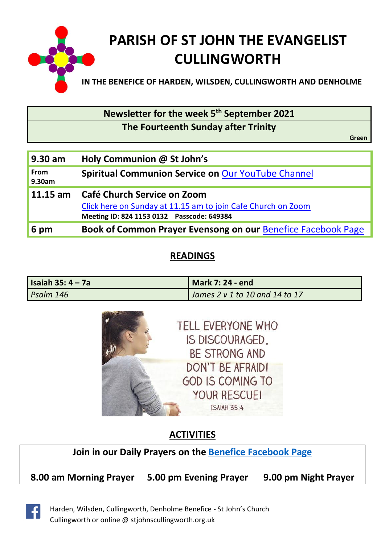

**Newsletter for the week 5 th September 2021 The Fourteenth Sunday after Trinity**

**Green**

| $9.30$ am             | Holy Communion @ St John's                                                                                                                |
|-----------------------|-------------------------------------------------------------------------------------------------------------------------------------------|
| <b>From</b><br>9.30am | <b>Spiritual Communion Service on Our YouTube Channel</b>                                                                                 |
| $11.15$ am            | Café Church Service on Zoom<br>Click here on Sunday at 11.15 am to join Cafe Church on Zoom<br>Meeting ID: 824 1153 0132 Passcode: 649384 |
|                       |                                                                                                                                           |
| 6 pm                  | Book of Common Prayer Evensong on our Benefice Facebook Page                                                                              |

## **READINGS**

| Isaiah 35: $4 - 7a$ | <b>Mark 7: 24 - end</b>             |
|---------------------|-------------------------------------|
| Psalm 146           | James $2 \vee 1$ to 10 and 14 to 17 |



# **ACTIVITIES**

## **Join in our Daily Prayers on the [Benefice Facebook Page](https://www.facebook.com/Harden-Wilsden-Cullingworth-Denholme-Benefice)**

**8.00 am Morning Prayer 5.00 pm Evening Prayer 9.00 pm Night Prayer**



Harden, Wilsden, Cullingworth, Denholme Benefice - St John's Church Cullingworth or online @ stjohnscullingworth.org.uk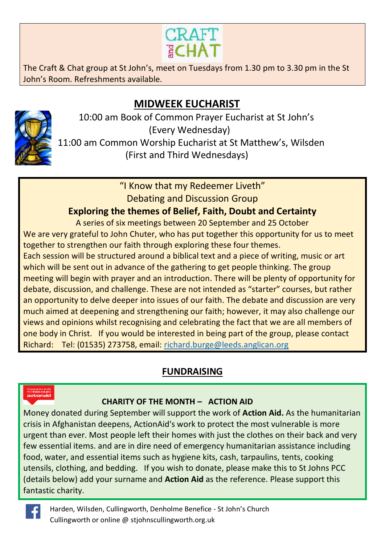

The Craft & Chat group at St John's, meet on Tuesdays from 1.30 pm to 3.30 pm in the St John's Room. Refreshments available.

# **MIDWEEK EUCHARIST**



 10:00 am Book of Common Prayer Eucharist at St John's (Every Wednesday)

11:00 am Common Worship Eucharist at St Matthew's, Wilsden (First and Third Wednesdays)

> "I Know that my Redeemer Liveth" Debating and Discussion Group

## **Exploring the themes of Belief, Faith, Doubt and Certainty**

A series of six meetings between 20 September and 25 October We are very grateful to John Chuter, who has put together this opportunity for us to meet together to strengthen our faith through exploring these four themes.

Each session will be structured around a biblical text and a piece of writing, music or art which will be sent out in advance of the gathering to get people thinking. The group meeting will begin with prayer and an introduction. There will be plenty of opportunity for debate, discussion, and challenge. These are not intended as "starter" courses, but rather an opportunity to delve deeper into issues of our faith. The debate and discussion are very much aimed at deepening and strengthening our faith; however, it may also challenge our views and opinions whilst recognising and celebrating the fact that we are all members of one body in Christ. If you would be interested in being part of the group, please contact Richard: Tel: (01535) 273758, email: [richard.burge@leeds.anglican.org](file:///C:/Users/John%20Chuter/AppData/Local/Microsoft/Windows/INetCache/Content.Outlook/O777GM6B/richard.burge@leeds.anglican.org)

# **FUNDRAISING**

## **CHARITY OF THE MONTH – ACTION AID**

Money donated during September will support the work of **Action Aid.** As the humanitarian crisis in Afghanistan deepens, ActionAid's work to protect the most vulnerable is more urgent than ever. Most people left their homes with just the clothes on their back and very few essential items. and are in dire need of emergency humanitarian assistance including food, water, and essential items such as hygiene kits, cash, tarpaulins, tents, cooking utensils, clothing, and bedding. If you wish to donate, please make this to St Johns PCC (details below) add your surname and **Action Aid** as the reference. Please support this fantastic charity.



Harden, Wilsden, Cullingworth, Denholme Benefice - St John's Church Cullingworth or online @ stjohnscullingworth.org.uk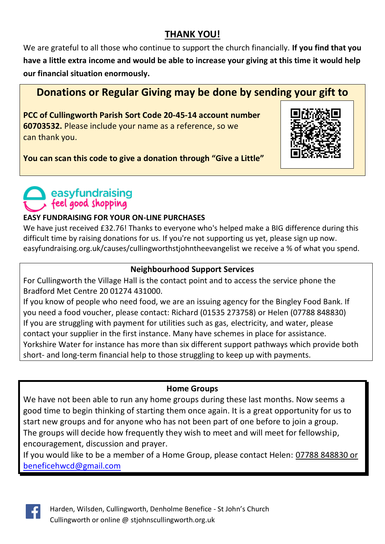## **THANK YOU!**

We are grateful to all those who continue to support the church financially. **If you find that you have a little extra income and would be able to increase your giving at this time it would help our financial situation enormously.**

# **Donations or Regular Giving may be done by sending your gift to**

**PCC of Cullingworth Parish Sort Code 20-45-14 account number 60703532.** Please include your name as a reference, so we can thank you.



**You can scan this code to give a donation through "Give a Little"**

easyfundraising feel good shopping

### **EASY FUNDRAISING FOR YOUR ON-LINE PURCHASES**

We have just received £32.76! Thanks to everyone who's helped make a BIG difference during this difficult time by raising donations for us. If you're not supporting us yet, please sign up now. easyfundraising.org.uk/causes/cullingworthstjohntheevangelist we receive a % of what you spend.

## **Neighbourhood Support Services**

For Cullingworth the Village Hall is the contact point and to access the service phone the Bradford Met Centre 20 01274 431000.

If you know of people who need food, we are an issuing agency for the Bingley Food Bank. If you need a food voucher, please contact: Richard (01535 273758) or Helen (07788 848830) If you are struggling with payment for utilities such as gas, electricity, and water, please contact your supplier in the first instance. Many have schemes in place for assistance. Yorkshire Water for instance has more than six different support pathways which provide both short- and long-term financial help to those struggling to keep up with payments.

## **Home Groups**

We have not been able to run any home groups during these last months. Now seems a good time to begin thinking of starting them once again. It is a great opportunity for us to start new groups and for anyone who has not been part of one before to join a group. The groups will decide how frequently they wish to meet and will meet for fellowship, encouragement, discussion and prayer.

If you would like to be a member of a Home Group, please contact Helen: 07788 848830 or [beneficehwcd@gmail.com](file:///C:/Users/richard%20burge/AppData/Local/Microsoft/Windows/INetCache/Content.Outlook/PTJPOGMM/beneficehwcd@gmail.com)

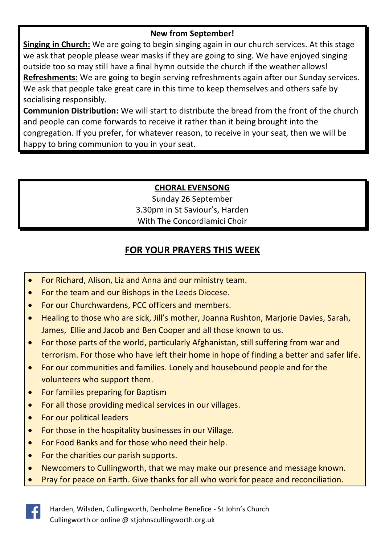#### **New from September!**

**Singing in Church:** We are going to begin singing again in our church services. At this stage we ask that people please wear masks if they are going to sing. We have enjoyed singing outside too so may still have a final hymn outside the church if the weather allows! **Refreshments:** We are going to begin serving refreshments again after our Sunday services. We ask that people take great care in this time to keep themselves and others safe by socialising responsibly.

**Communion Distribution:** We will start to distribute the bread from the front of the church and people can come forwards to receive it rather than it being brought into the congregation. If you prefer, for whatever reason, to receive in your seat, then we will be happy to bring communion to you in your seat.

## **CHORAL EVENSONG**

Sunday 26 September 3.30pm in St Saviour's, Harden With The Concordiamici Choir

## **FOR YOUR PRAYERS THIS WEEK**

- For Richard, Alison, Liz and Anna and our ministry team.
- For the team and our Bishops in the Leeds Diocese.
- For our Churchwardens, PCC officers and members.
- Healing to those who are sick, Jill's mother, Joanna Rushton, Marjorie Davies, Sarah, James, Ellie and Jacob and Ben Cooper and all those known to us.
- For those parts of the world, particularly Afghanistan, still suffering from war and terrorism. For those who have left their home in hope of finding a better and safer life.
- For our communities and families. Lonely and housebound people and for the volunteers who support them.
- For families preparing for Baptism
- For all those providing medical services in our villages.
- For our political leaders
- For those in the hospitality businesses in our Village.
- For Food Banks and for those who need their help.
- For the charities our parish supports.
- Newcomers to Cullingworth, that we may make our presence and message known.
- Pray for peace on Earth. Give thanks for all who work for peace and reconciliation.